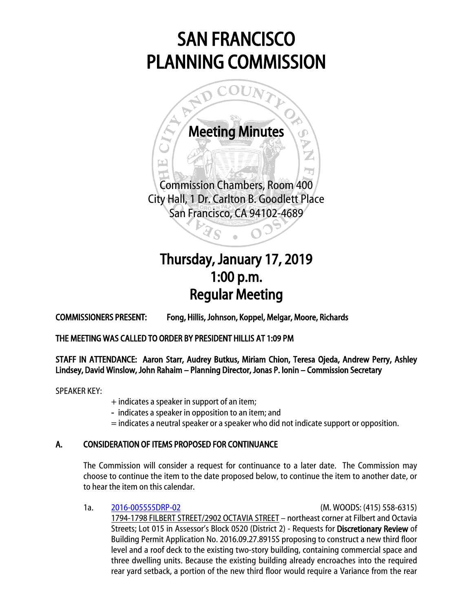# SAN FRANCISCO PLANNING COMMISSION



San Francisco, CA 94102-4689

Ï

## $\overline{a}$ Thursday, January 17, 2019 1:00 p.m. Regular Meeting

COMMISSIONERS PRESENT: Fong, Hillis, Johnson, Koppel, Melgar, Moore, Richards

THE MEETING WAS CALLED TO ORDER BY PRESIDENT HILLIS AT 1:09 PM

STAFF IN ATTENDANCE: Aaron Starr, Audrey Butkus, Miriam Chion, Teresa Ojeda, Andrew Perry, Ashley Lindsey, David Winslow, John Rahaim – Planning Director, Jonas P. Ionin – Commission Secretary

SPEAKER KEY:

- + indicates a speaker in support of an item;
- indicates a speaker in opposition to an item; and
- = indicates a neutral speaker or a speaker who did not indicate support or opposition.

### A. CONSIDERATION OF ITEMS PROPOSED FOR CONTINUANCE

The Commission will consider a request for continuance to a later date. The Commission may choose to continue the item to the date proposed below, to continue the item to another date, or to hear the item on this calendar.

1a. [2016-005555DRP-02](http://commissions.sfplanning.org/cpcpackets/2016-005555DRP-02VARc1.pdf) (M. WOODS: (415) 558-6315) 1794-1798 FILBERT STREET/2902 OCTAVIA STREET – northeast corner at Filbert and Octavia Streets; Lot 015 in Assessor's Block 0520 (District 2) - Requests for Discretionary Review of Building Permit Application No. 2016.09.27.8915S proposing to construct a new third floor level and a roof deck to the existing two-story building, containing commercial space and three dwelling units. Because the existing building already encroaches into the required rear yard setback, a portion of the new third floor would require a Variance from the rear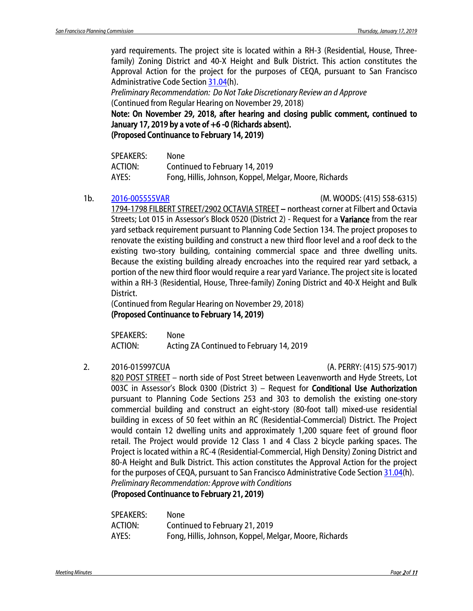yard requirements. The project site is located within a RH-3 (Residential, House, Threefamily) Zoning District and 40-X Height and Bulk District. This action constitutes the Approval Action for the project for the purposes of CEQA, pursuant to San Francisco Administrative Code Section [31.04\(](http://library.amlegal.com/nxt/gateway.dll/California/administrative/chapter31californiaenvironmentalqualitya?f=templates$fn=default.htm$3.0$vid=amlegal:sanfrancisco_ca$anc=JD_31.04)h).

*Preliminary Recommendation: Do Not Take Discretionary Review an d Approve* (Continued from Regular Hearing on November 29, 2018)

Note: On November 29, 2018, after hearing and closing public comment, continued to January 17, 2019 by a vote of +6 -0 (Richards absent).

(Proposed Continuance to February 14, 2019)

| <b>SPEAKERS:</b> | None                                                   |
|------------------|--------------------------------------------------------|
| ACTION:          | Continued to February 14, 2019                         |
| AYES:            | Fong, Hillis, Johnson, Koppel, Melgar, Moore, Richards |

1b. [2016-005555VAR](http://commissions.sfplanning.org/cpcpackets/2016-005555DRP-02VARc1.pdf) (M. WOODS: (415) 558-6315)

1794-1798 FILBERT STREET/2902 OCTAVIA STREET – northeast corner at Filbert and Octavia Streets; Lot 015 in Assessor's Block 0520 (District 2) - Request for a **Variance** from the rear yard setback requirement pursuant to Planning Code Section 134. The project proposes to renovate the existing building and construct a new third floor level and a roof deck to the existing two-story building, containing commercial space and three dwelling units. Because the existing building already encroaches into the required rear yard setback, a portion of the new third floor would require a rear yard Variance. The project site is located within a RH-3 (Residential, House, Three-family) Zoning District and 40-X Height and Bulk District.

(Continued from Regular Hearing on November 29, 2018) (Proposed Continuance to February 14, 2019)

SPEAKERS: None ACTION: Acting ZA Continued to February 14, 2019

2. 2016-015997CUA (A. PERRY: (415) 575-9017)

820 POST STREET – north side of Post Street between Leavenworth and Hyde Streets, Lot 003C in Assessor's Block 0300 (District 3) – Request for Conditional Use Authorization pursuant to Planning Code Sections 253 and 303 to demolish the existing one-story commercial building and construct an eight-story (80-foot tall) mixed-use residential building in excess of 50 feet within an RC (Residential-Commercial) District. The Project would contain 12 dwelling units and approximately 1,200 square feet of ground floor retail. The Project would provide 12 Class 1 and 4 Class 2 bicycle parking spaces. The Project is located within a RC-4 (Residential-Commercial, High Density) Zoning District and 80-A Height and Bulk District. This action constitutes the Approval Action for the project for the purposes of CEQA, pursuant to San Francisco Administrative Code Sectio[n 31.04\(](http://library.amlegal.com/nxt/gateway.dll/California/administrative/chapter31californiaenvironmentalqualitya?f=templates$fn=default.htm$3.0$vid=amlegal:sanfrancisco_ca$anc=JD_31.04)h). *Preliminary Recommendation: Approve with Conditions*

(Proposed Continuance to February 21, 2019)

| <b>SPEAKERS:</b> | None                                                   |
|------------------|--------------------------------------------------------|
| ACTION:          | Continued to February 21, 2019                         |
| AYES:            | Fong, Hillis, Johnson, Koppel, Melgar, Moore, Richards |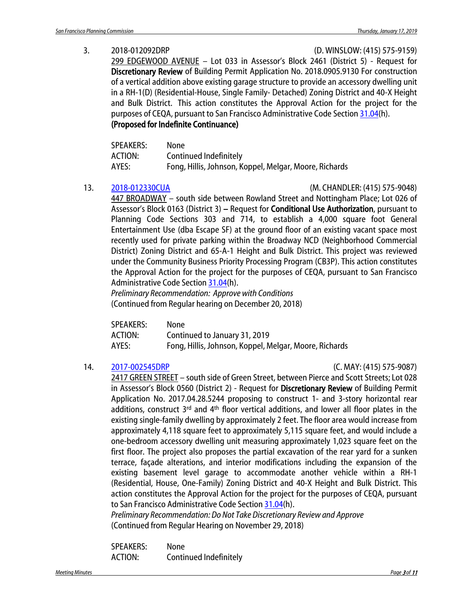3. 2018-012092DRP (D. WINSLOW: (415) 575-9159)

299 EDGEWOOD AVENUE – Lot 033 in Assessor's Block 2461 (District 5) - Request for Discretionary Review of Building Permit Application No. 2018.0905.9130 For construction of a vertical addition above existing garage structure to provide an accessory dwelling unit in a RH-1(D) (Residential-House, Single Family- Detached) Zoning District and 40-X Height and Bulk District. This action constitutes the Approval Action for the project for the purposes of CEQA, pursuant to San Francisco Administrative Code Section [31.04\(](http://library.amlegal.com/nxt/gateway.dll/California/administrative/chapter31californiaenvironmentalqualitya?f=templates$fn=default.htm$3.0$vid=amlegal:sanfrancisco_ca$anc=JD_31.04)h).

#### (Proposed for Indefinite Continuance)

| <b>SPEAKERS:</b> | None                                                   |
|------------------|--------------------------------------------------------|
| ACTION:          | Continued Indefinitely                                 |
| AYES:            | Fong, Hillis, Johnson, Koppel, Melgar, Moore, Richards |

13. [2018-012330CUA](http://commissions.sfplanning.org/cpcpackets/2018-012330CUA.pdf) (M. CHANDLER: (415) 575-9048)

447 BROADWAY – south side between Rowland Street and Nottingham Place; Lot 026 of Assessor's Block 0163 (District 3) – Request for Conditional Use Authorization, pursuant to Planning Code Sections 303 and 714, to establish a 4,000 square foot General Entertainment Use (dba Escape SF) at the ground floor of an existing vacant space most recently used for private parking within the Broadway NCD (Neighborhood Commercial District) Zoning District and 65-A-1 Height and Bulk District. This project was reviewed under the Community Business Priority Processing Program (CB3P). This action constitutes the Approval Action for the project for the purposes of CEQA, pursuant to San Francisco Administrative Code Section [31.04\(](http://library.amlegal.com/nxt/gateway.dll/California/administrative/chapter31californiaenvironmentalqualitya?f=templates$fn=default.htm$3.0$vid=amlegal:sanfrancisco_ca$anc=JD_31.04)h).

*Preliminary Recommendation: Approve with Conditions* (Continued from Regular hearing on December 20, 2018)

| <b>SPEAKERS:</b> | None                                                   |
|------------------|--------------------------------------------------------|
| ACTION:          | Continued to January 31, 2019                          |
| AYES:            | Fong, Hillis, Johnson, Koppel, Melgar, Moore, Richards |

#### 14. [2017-002545DRP](http://commissions.sfplanning.org/cpcpackets/2017-002545DRP-03.pdf) (C. MAY: (415) 575-9087)

2417 GREEN STREET – south side of Green Street, between Pierce and Scott Streets; Lot 028 in Assessor's Block 0560 (District 2) - Request for Discretionary Review of Building Permit Application No. 2017.04.28.5244 proposing to construct 1- and 3-story horizontal rear additions, construct  $3^{rd}$  and  $4^{th}$  floor vertical additions, and lower all floor plates in the existing single-family dwelling by approximately 2 feet. The floor area would increase from approximately 4,118 square feet to approximately 5,115 square feet, and would include a one-bedroom accessory dwelling unit measuring approximately 1,023 square feet on the first floor. The project also proposes the partial excavation of the rear yard for a sunken terrace, façade alterations, and interior modifications including the expansion of the existing basement level garage to accommodate another vehicle within a RH-1 (Residential, House, One-Family) Zoning District and 40-X Height and Bulk District. This action constitutes the Approval Action for the project for the purposes of CEQA, pursuant to San Francisco Administrative Code Section [31.04\(](http://library.amlegal.com/nxt/gateway.dll/California/administrative/chapter31californiaenvironmentalqualitya?f=templates$fn=default.htm$3.0$vid=amlegal:sanfrancisco_ca$anc=JD_31.04)h).

*Preliminary Recommendation: Do Not Take Discretionary Review and Approve*  (Continued from Regular Hearing on November 29, 2018)

SPEAKERS: None ACTION: Continued Indefinitely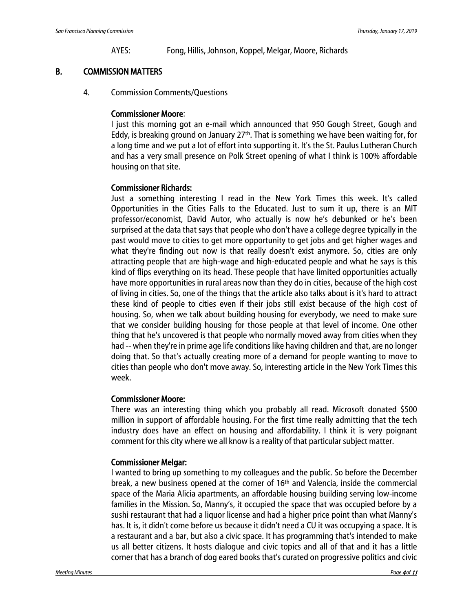AYES: Fong, Hillis, Johnson, Koppel, Melgar, Moore, Richards

#### B. COMMISSION MATTERS

4. Commission Comments/Questions

#### Commissioner Moore:

I just this morning got an e-mail which announced that 950 Gough Street, Gough and Eddy, is breaking ground on January  $27<sup>th</sup>$ . That is something we have been waiting for, for a long time and we put a lot of effort into supporting it. It's the St. Paulus Lutheran Church and has a very small presence on Polk Street opening of what I think is 100% affordable housing on that site.

#### Commissioner Richards:

Just a something interesting I read in the New York Times this week. It's called Opportunities in the Cities Falls to the Educated. Just to sum it up, there is an MIT professor/economist, David Autor, who actually is now he's debunked or he's been surprised at the data that says that people who don't have a college degree typically in the past would move to cities to get more opportunity to get jobs and get higher wages and what they're finding out now is that really doesn't exist anymore. So, cities are only attracting people that are high-wage and high-educated people and what he says is this kind of flips everything on its head. These people that have limited opportunities actually have more opportunities in rural areas now than they do in cities, because of the high cost of living in cities. So, one of the things that the article also talks about is it's hard to attract these kind of people to cities even if their jobs still exist because of the high cost of housing. So, when we talk about building housing for everybody, we need to make sure that we consider building housing for those people at that level of income. One other thing that he's uncovered is that people who normally moved away from cities when they had -- when they're in prime age life conditions like having children and that, are no longer doing that. So that's actually creating more of a demand for people wanting to move to cities than people who don't move away. So, interesting article in the New York Times this week.

#### Commissioner Moore:

There was an interesting thing which you probably all read. Microsoft donated \$500 million in support of affordable housing. For the first time really admitting that the tech industry does have an effect on housing and affordability. I think it is very poignant comment for this city where we all know is a reality of that particular subject matter.

#### Commissioner Melgar:

I wanted to bring up something to my colleagues and the public. So before the December break, a new business opened at the corner of 16th and Valencia, inside the commercial space of the Maria Alicia apartments, an affordable housing building serving low-income families in the Mission. So, Manny's, it occupied the space that was occupied before by a sushi restaurant that had a liquor license and had a higher price point than what Manny's has. It is, it didn't come before us because it didn't need a CU it was occupying a space. It is a restaurant and a bar, but also a civic space. It has programming that's intended to make us all better citizens. It hosts dialogue and civic topics and all of that and it has a little corner that has a branch of dog eared books that's curated on progressive politics and civic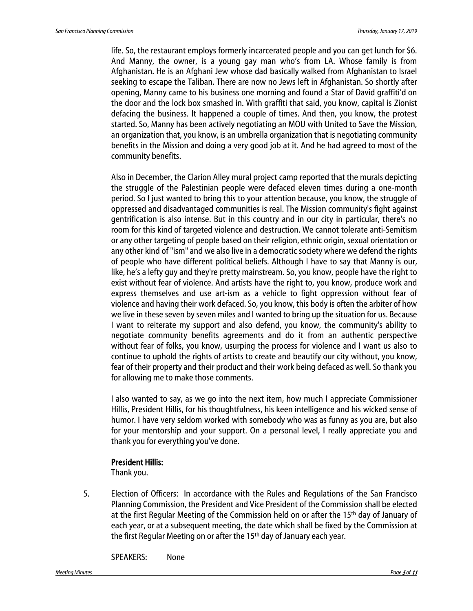life. So, the restaurant employs formerly incarcerated people and you can get lunch for \$6. And Manny, the owner, is a young gay man who's from LA. Whose family is from Afghanistan. He is an Afghani Jew whose dad basically walked from Afghanistan to Israel seeking to escape the Taliban. There are now no Jews left in Afghanistan. So shortly after opening, Manny came to his business one morning and found a Star of David graffiti'd on the door and the lock box smashed in. With graffiti that said, you know, capital is Zionist defacing the business. It happened a couple of times. And then, you know, the protest started. So, Manny has been actively negotiating an MOU with United to Save the Mission, an organization that, you know, is an umbrella organization that is negotiating community benefits in the Mission and doing a very good job at it. And he had agreed to most of the community benefits.

Also in December, the Clarion Alley mural project camp reported that the murals depicting the struggle of the Palestinian people were defaced eleven times during a one-month period. So I just wanted to bring this to your attention because, you know, the struggle of oppressed and disadvantaged communities is real. The Mission community's fight against gentrification is also intense. But in this country and in our city in particular, there's no room for this kind of targeted violence and destruction. We cannot tolerate anti-Semitism or any other targeting of people based on their religion, ethnic origin, sexual orientation or any other kind of "ism" and we also live in a democratic society where we defend the rights of people who have different political beliefs. Although I have to say that Manny is our, like, he's a lefty guy and they're pretty mainstream. So, you know, people have the right to exist without fear of violence. And artists have the right to, you know, produce work and express themselves and use art-ism as a vehicle to fight oppression without fear of violence and having their work defaced. So, you know, this body is often the arbiter of how we live in these seven by seven miles and I wanted to bring up the situation for us. Because I want to reiterate my support and also defend, you know, the community's ability to negotiate community benefits agreements and do it from an authentic perspective without fear of folks, you know, usurping the process for violence and I want us also to continue to uphold the rights of artists to create and beautify our city without, you know, fear of their property and their product and their work being defaced as well. So thank you for allowing me to make those comments.

I also wanted to say, as we go into the next item, how much I appreciate Commissioner Hillis, President Hillis, for his thoughtfulness, his keen intelligence and his wicked sense of humor. I have very seldom worked with somebody who was as funny as you are, but also for your mentorship and your support. On a personal level, I really appreciate you and thank you for everything you've done.

#### President Hillis:

Thank you.

5. Election of Officers: In accordance with the Rules and Regulations of the San Francisco Planning Commission, the President and Vice President of the Commission shall be elected at the first Regular Meeting of the Commission held on or after the 15th day of January of each year, or at a subsequent meeting, the date which shall be fixed by the Commission at the first Regular Meeting on or after the 15th day of January each year.

SPEAKERS: None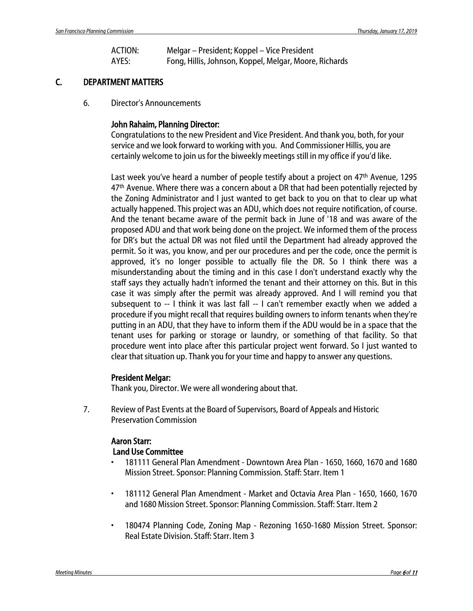| ACTION: | Melgar – President; Koppel – Vice President            |
|---------|--------------------------------------------------------|
| AYES:   | Fong, Hillis, Johnson, Koppel, Melgar, Moore, Richards |

### C. DEPARTMENT MATTERS

6. Director's Announcements

#### John Rahaim, Planning Director:

Congratulations to the new President and Vice President. And thank you, both, for your service and we look forward to working with you. And Commissioner Hillis, you are certainly welcome to join us for the biweekly meetings still in my office if you'd like.

Last week you've heard a number of people testify about a project on 47<sup>th</sup> Avenue, 1295 47<sup>th</sup> Avenue. Where there was a concern about a DR that had been potentially rejected by the Zoning Administrator and I just wanted to get back to you on that to clear up what actually happened. This project was an ADU, which does not require notification, of course. And the tenant became aware of the permit back in June of '18 and was aware of the proposed ADU and that work being done on the project. We informed them of the process for DR's but the actual DR was not filed until the Department had already approved the permit. So it was, you know, and per our procedures and per the code, once the permit is approved, it's no longer possible to actually file the DR. So I think there was a misunderstanding about the timing and in this case I don't understand exactly why the staff says they actually hadn't informed the tenant and their attorney on this. But in this case it was simply after the permit was already approved. And I will remind you that subsequent to -- I think it was last fall -- I can't remember exactly when we added a procedure if you might recall that requires building owners to inform tenants when they're putting in an ADU, that they have to inform them if the ADU would be in a space that the tenant uses for parking or storage or laundry, or something of that facility. So that procedure went into place after this particular project went forward. So I just wanted to clear that situation up. Thank you for your time and happy to answer any questions.

#### President Melgar:

Thank you, Director. We were all wondering about that.

7. Review of Past Events at the Board of Supervisors, Board of Appeals and Historic Preservation Commission

### Aaron Starr: Land Use Committee

- 181111 General Plan Amendment Downtown Area Plan 1650, 1660, 1670 and 1680 Mission Street. Sponsor: Planning Commission. Staff: Starr. Item 1
- 181112 General Plan Amendment Market and Octavia Area Plan 1650, 1660, 1670 and 1680 Mission Street. Sponsor: Planning Commission. Staff: Starr. Item 2
- 180474 Planning Code, Zoning Map Rezoning 1650-1680 Mission Street. Sponsor: Real Estate Division. Staff: Starr. Item 3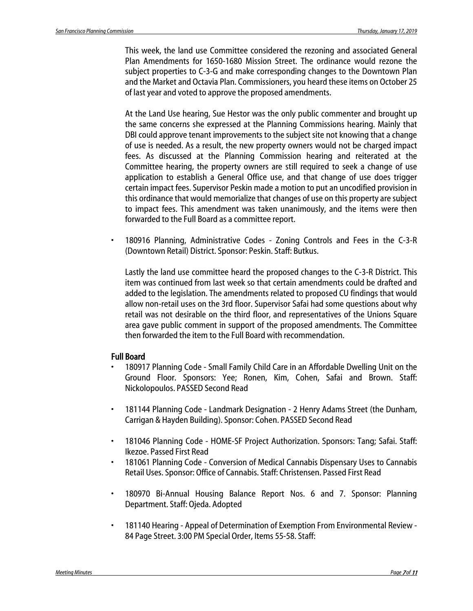This week, the land use Committee considered the rezoning and associated General Plan Amendments for 1650-1680 Mission Street. The ordinance would rezone the subject properties to C-3-G and make corresponding changes to the Downtown Plan and the Market and Octavia Plan. Commissioners, you heard these items on October 25 of last year and voted to approve the proposed amendments.

At the Land Use hearing, Sue Hestor was the only public commenter and brought up the same concerns she expressed at the Planning Commissions hearing. Mainly that DBI could approve tenant improvements to the subject site not knowing that a change of use is needed. As a result, the new property owners would not be charged impact fees. As discussed at the Planning Commission hearing and reiterated at the Committee hearing, the property owners are still required to seek a change of use application to establish a General Office use, and that change of use does trigger certain impact fees. Supervisor Peskin made a motion to put an uncodified provision in this ordinance that would memorialize that changes of use on this property are subject to impact fees. This amendment was taken unanimously, and the items were then forwarded to the Full Board as a committee report.

• 180916 Planning, Administrative Codes - Zoning Controls and Fees in the C-3-R (Downtown Retail) District. Sponsor: Peskin. Staff: Butkus.

Lastly the land use committee heard the proposed changes to the C-3-R District. This item was continued from last week so that certain amendments could be drafted and added to the legislation. The amendments related to proposed CU findings that would allow non-retail uses on the 3rd floor. Supervisor Safai had some questions about why retail was not desirable on the third floor, and representatives of the Unions Square area gave public comment in support of the proposed amendments. The Committee then forwarded the item to the Full Board with recommendation.

#### Full Board

- 180917 Planning Code Small Family Child Care in an Affordable Dwelling Unit on the Ground Floor. Sponsors: Yee; Ronen, Kim, Cohen, Safai and Brown. Staff: Nickolopoulos. PASSED Second Read
- 181144 Planning Code Landmark Designation 2 Henry Adams Street (the Dunham, Carrigan & Hayden Building). Sponsor: Cohen. PASSED Second Read
- 181046 Planning Code HOME-SF Project Authorization. Sponsors: Tang; Safai. Staff: Ikezoe. Passed First Read
- 181061 Planning Code Conversion of Medical Cannabis Dispensary Uses to Cannabis Retail Uses. Sponsor: Office of Cannabis. Staff: Christensen. Passed First Read
- 180970 Bi-Annual Housing Balance Report Nos. 6 and 7. Sponsor: Planning Department. Staff: Ojeda. Adopted
- 181140 Hearing Appeal of Determination of Exemption From Environmental Review 84 Page Street. 3:00 PM Special Order, Items 55-58. Staff: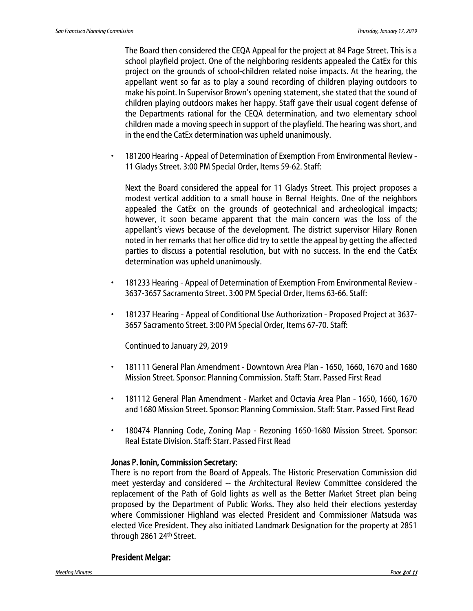The Board then considered the CEQA Appeal for the project at 84 Page Street. This is a school playfield project. One of the neighboring residents appealed the CatEx for this project on the grounds of school-children related noise impacts. At the hearing, the appellant went so far as to play a sound recording of children playing outdoors to make his point. In Supervisor Brown's opening statement, she stated that the sound of children playing outdoors makes her happy. Staff gave their usual cogent defense of the Departments rational for the CEQA determination, and two elementary school children made a moving speech in support of the playfield. The hearing was short, and in the end the CatEx determination was upheld unanimously.

• 181200 Hearing - Appeal of Determination of Exemption From Environmental Review - 11 Gladys Street. 3:00 PM Special Order, Items 59-62. Staff:

Next the Board considered the appeal for 11 Gladys Street. This project proposes a modest vertical addition to a small house in Bernal Heights. One of the neighbors appealed the CatEx on the grounds of geotechnical and archeological impacts; however, it soon became apparent that the main concern was the loss of the appellant's views because of the development. The district supervisor Hilary Ronen noted in her remarks that her office did try to settle the appeal by getting the affected parties to discuss a potential resolution, but with no success. In the end the CatEx determination was upheld unanimously.

- 181233 Hearing Appeal of Determination of Exemption From Environmental Review 3637-3657 Sacramento Street. 3:00 PM Special Order, Items 63-66. Staff:
- 181237 Hearing Appeal of Conditional Use Authorization Proposed Project at 3637- 3657 Sacramento Street. 3:00 PM Special Order, Items 67-70. Staff:

Continued to January 29, 2019

- 181111 General Plan Amendment Downtown Area Plan 1650, 1660, 1670 and 1680 Mission Street. Sponsor: Planning Commission. Staff: Starr. Passed First Read
- 181112 General Plan Amendment Market and Octavia Area Plan 1650, 1660, 1670 and 1680 Mission Street. Sponsor: Planning Commission. Staff: Starr. Passed First Read
- 180474 Planning Code, Zoning Map Rezoning 1650-1680 Mission Street. Sponsor: Real Estate Division. Staff: Starr. Passed First Read

#### Jonas P. Ionin, Commission Secretary:

There is no report from the Board of Appeals. The Historic Preservation Commission did meet yesterday and considered -- the Architectural Review Committee considered the replacement of the Path of Gold lights as well as the Better Market Street plan being proposed by the Department of Public Works. They also held their elections yesterday where Commissioner Highland was elected President and Commissioner Matsuda was elected Vice President. They also initiated Landmark Designation for the property at 2851 through 2861 24th Street.

#### President Melgar: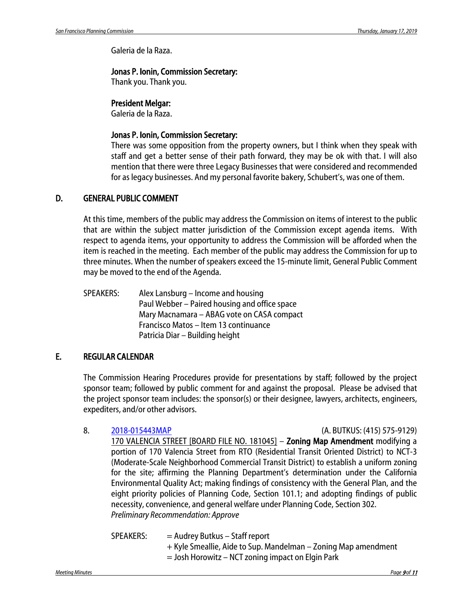Galeria de la Raza.

#### Jonas P. Ionin, Commission Secretary:

Thank you. Thank you.

#### President Melgar:

Galeria de la Raza.

#### Jonas P. Ionin, Commission Secretary:

There was some opposition from the property owners, but I think when they speak with staff and get a better sense of their path forward, they may be ok with that. I will also mention that there were three Legacy Businesses that were considered and recommended for as legacy businesses. And my personal favorite bakery, Schubert's, was one of them.

#### D. GENERAL PUBLIC COMMENT

At this time, members of the public may address the Commission on items of interest to the public that are within the subject matter jurisdiction of the Commission except agenda items. With respect to agenda items, your opportunity to address the Commission will be afforded when the item is reached in the meeting. Each member of the public may address the Commission for up to three minutes. When the number of speakers exceed the 15-minute limit, General Public Comment may be moved to the end of the Agenda.

SPEAKERS: Alex Lansburg – Income and housing Paul Webber – Paired housing and office space Mary Macnamara – ABAG vote on CASA compact Francisco Matos – Item 13 continuance Patricia Diar – Building height

### E. REGULAR CALENDAR

The Commission Hearing Procedures provide for presentations by staff; followed by the project sponsor team; followed by public comment for and against the proposal. Please be advised that the project sponsor team includes: the sponsor(s) or their designee, lawyers, architects, engineers, expediters, and/or other advisors.

### 8. [2018-015443MAP](http://commissions.sfplanning.org/cpcpackets/2018%E2%80%90015443MAP.pdf) (A. BUTKUS: (415) 575-9129) 170 VALENCIA STREET [BOARD FILE NO. 181045] – Zoning Map Amendment modifying a portion of 170 Valencia Street from RTO (Residential Transit Oriented District) to NCT-3 (Moderate-Scale Neighborhood Commercial Transit District) to establish a uniform zoning for the site; affirming the Planning Department's determination under the California Environmental Quality Act; making findings of consistency with the General Plan, and the eight priority policies of Planning Code, Section 101.1; and adopting findings of public necessity, convenience, and general welfare under Planning Code, Section 302. *Preliminary Recommendation: Approve*

SPEAKERS: = Audrey Butkus – Staff report + Kyle Smeallie, Aide to Sup. Mandelman – Zoning Map amendment = Josh Horowitz – NCT zoning impact on Elgin Park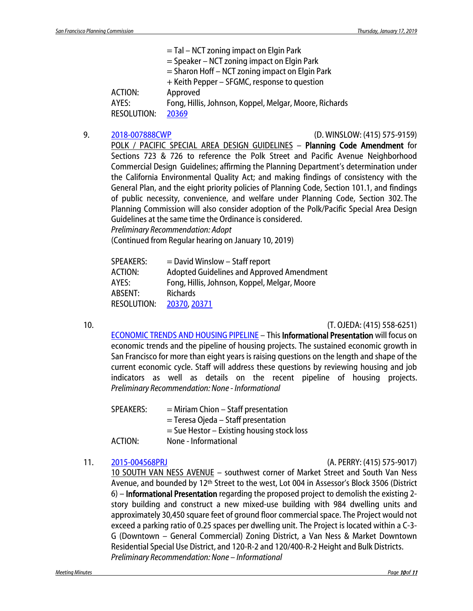= Tal – NCT zoning impact on Elgin Park = Speaker – NCT zoning impact on Elgin Park = Sharon Hoff – NCT zoning impact on Elgin Park + Keith Pepper – SFGMC, response to question ACTION: Approved AYES: Fong, Hillis, Johnson, Koppel, Melgar, Moore, Richards RESOLUTION: [20369](http://citypln-m-extnl.sfgov.org/link.ashx?Action=Download&ObjectVersion=-1&vault=%7bA4A7DACD-B0DC-4322-BD29-F6F07103C6E0%7d&objectGUID=%7b6EFE1331-E836-4ACE-97CC-29AEE75F3687%7d&fileGUID=%7b4188368D-F6A3-493F-B937-17B43F38FECB%7d)

#### 9. [2018-007888CWP](http://commissions.sfplanning.org/cpcpackets/2018-007888PCA.pdf) (D. WINSLOW: (415) 575-9159)

POLK / PACIFIC SPECIAL AREA DESIGN GUIDELINES – Planning Code Amendment for Sections 723 & 726 to reference the Polk Street and Pacific Avenue Neighborhood Commercial Design Guidelines; affirming the Planning Department's determination under the California Environmental Quality Act; and making findings of consistency with the General Plan, and the eight priority policies of Planning Code, Section 101.1, and findings of public necessity, convenience, and welfare under Planning Code, Section 302. The Planning Commission will also consider adoption of the Polk/Pacific Special Area Design Guidelines at the same time the Ordinance is considered.

*Preliminary Recommendation: Adopt*

(Continued from Regular hearing on January 10, 2019)

| $=$ David Winslow $-$ Staff report           |
|----------------------------------------------|
| Adopted Guidelines and Approved Amendment    |
| Fong, Hillis, Johnson, Koppel, Melgar, Moore |
| <b>Richards</b>                              |
| 20370, 20371                                 |
|                                              |

10. (T. OJEDA: (415) 558-6251)

[ECONOMIC TRENDS AND HOUSING PIPELINE](http://commissions.sfplanning.org/cpcpackets/EconTrends-HsgPipeline.pdf) – This Informational Presentation will focus on economic trends and the pipeline of housing projects. The sustained economic growth in San Francisco for more than eight years is raising questions on the length and shape of the current economic cycle. Staff will address these questions by reviewing housing and job indicators as well as details on the recent pipeline of housing projects. *Preliminary Recommendation: None - Informational*

| <b>SPEAKERS:</b> | $=$ Miriam Chion $-$ Staff presentation      |
|------------------|----------------------------------------------|
|                  | $=$ Teresa Ojeda – Staff presentation        |
|                  | $=$ Sue Hestor – Existing housing stock loss |
| ACTION:          | None - Informational                         |

#### 11. [2015-004568PRJ](http://commissions.sfplanning.org/cpcpackets/2015-004568PRJ.pdf) (A. PERRY: (415) 575-9017)

10 SOUTH VAN NESS AVENUE – southwest corner of Market Street and South Van Ness Avenue, and bounded by 12<sup>th</sup> Street to the west, Lot 004 in Assessor's Block 3506 (District 6) – Informational Presentation regarding the proposed project to demolish the existing 2 story building and construct a new mixed-use building with 984 dwelling units and approximately 30,450 square feet of ground floor commercial space. The Project would not exceed a parking ratio of 0.25 spaces per dwelling unit. The Project is located within a C-3- G (Downtown – General Commercial) Zoning District, a Van Ness & Market Downtown Residential Special Use District, and 120-R-2 and 120/400-R-2 Height and Bulk Districts. *Preliminary Recommendation: None – Informational*